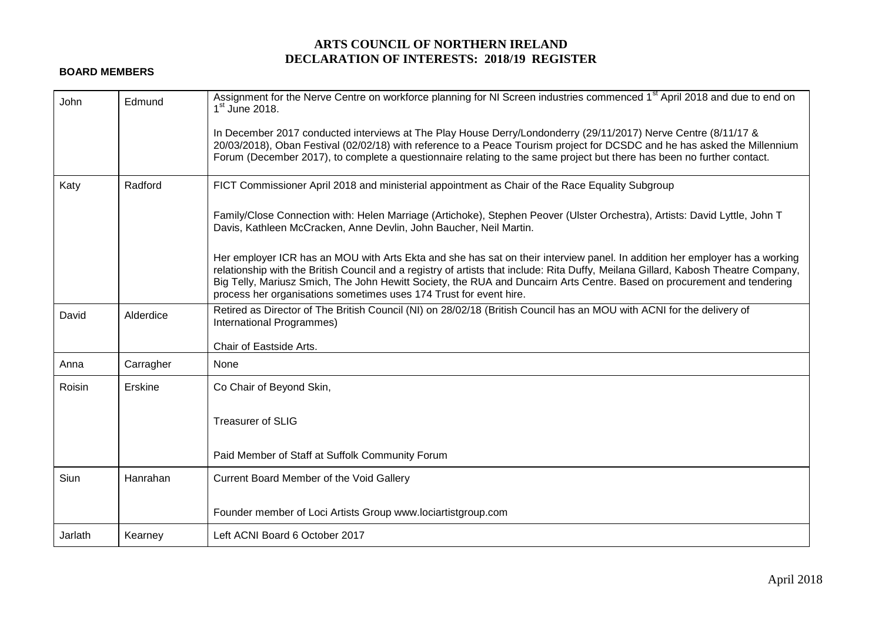## **ARTS COUNCIL OF NORTHERN IRELAND DECLARATION OF INTERESTS: 2018/19 REGISTER**

## **BOARD MEMBERS**

| <b>John</b> | Edmund    | Assignment for the Nerve Centre on workforce planning for NI Screen industries commenced 1 <sup>st</sup> April 2018 and due to end on<br>$1st$ June 2018.                                                                                                                                                                                                                                                                                                          |
|-------------|-----------|--------------------------------------------------------------------------------------------------------------------------------------------------------------------------------------------------------------------------------------------------------------------------------------------------------------------------------------------------------------------------------------------------------------------------------------------------------------------|
|             |           | In December 2017 conducted interviews at The Play House Derry/Londonderry (29/11/2017) Nerve Centre (8/11/17 &<br>20/03/2018), Oban Festival (02/02/18) with reference to a Peace Tourism project for DCSDC and he has asked the Millennium<br>Forum (December 2017), to complete a questionnaire relating to the same project but there has been no further contact.                                                                                              |
| Katy        | Radford   | FICT Commissioner April 2018 and ministerial appointment as Chair of the Race Equality Subgroup                                                                                                                                                                                                                                                                                                                                                                    |
|             |           | Family/Close Connection with: Helen Marriage (Artichoke), Stephen Peover (Ulster Orchestra), Artists: David Lyttle, John T<br>Davis, Kathleen McCracken, Anne Devlin, John Baucher, Neil Martin.                                                                                                                                                                                                                                                                   |
|             |           | Her employer ICR has an MOU with Arts Ekta and she has sat on their interview panel. In addition her employer has a working<br>relationship with the British Council and a registry of artists that include: Rita Duffy, Meilana Gillard, Kabosh Theatre Company,<br>Big Telly, Mariusz Smich, The John Hewitt Society, the RUA and Duncairn Arts Centre. Based on procurement and tendering<br>process her organisations sometimes uses 174 Trust for event hire. |
| David       | Alderdice | Retired as Director of The British Council (NI) on 28/02/18 (British Council has an MOU with ACNI for the delivery of<br>International Programmes)                                                                                                                                                                                                                                                                                                                 |
|             |           | Chair of Eastside Arts.                                                                                                                                                                                                                                                                                                                                                                                                                                            |
| Anna        | Carragher | None                                                                                                                                                                                                                                                                                                                                                                                                                                                               |
| Roisin      | Erskine   | Co Chair of Beyond Skin,                                                                                                                                                                                                                                                                                                                                                                                                                                           |
|             |           | <b>Treasurer of SLIG</b>                                                                                                                                                                                                                                                                                                                                                                                                                                           |
|             |           | Paid Member of Staff at Suffolk Community Forum                                                                                                                                                                                                                                                                                                                                                                                                                    |
| <b>Siun</b> | Hanrahan  | Current Board Member of the Void Gallery                                                                                                                                                                                                                                                                                                                                                                                                                           |
|             |           | Founder member of Loci Artists Group www.lociartistgroup.com                                                                                                                                                                                                                                                                                                                                                                                                       |
| Jarlath     | Kearney   | Left ACNI Board 6 October 2017                                                                                                                                                                                                                                                                                                                                                                                                                                     |